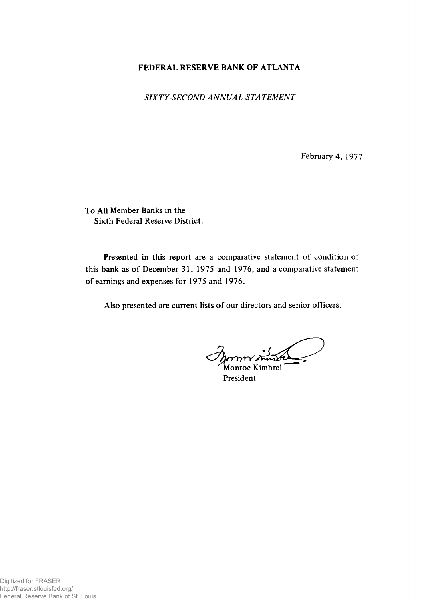## FEDERAL RESERVE BANK OF ATLANTA

*SIXTY-SECOND ANNUAL STA TEMENT*

February 4, 1977

To All Member Banks in the Sixth Federal Reserve District:

Presented in this report are a comparative statement of condition of this bank as of December 31, 1975 and 1976, and a comparative statement of earnings and expenses for 1975 and 1976.

Also presented are current lists of our directors and senior officers.

L Monroe Kimbrel

President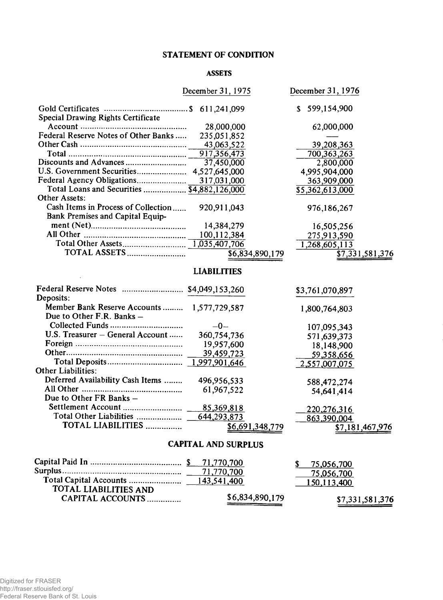## STATEMENT OF CONDITION

### ASSETS

|                                             | December 31, 1975  | December 31, 1976          |  |  |  |
|---------------------------------------------|--------------------|----------------------------|--|--|--|
|                                             |                    | \$599,154,900              |  |  |  |
| Special Drawing Rights Certificate          |                    |                            |  |  |  |
|                                             | 28,000,000         | 62,000,000                 |  |  |  |
| Federal Reserve Notes of Other Banks        | 235,051,852        |                            |  |  |  |
|                                             | 43,063,522         | 39,208,363                 |  |  |  |
|                                             | 917,356,473        | 700, 363, 263              |  |  |  |
| Discounts and Advances                      | 37,450,000         | 2,800,000                  |  |  |  |
|                                             | 4,527,645,000      | 4,995,904,000              |  |  |  |
| Federal Agency Obligations                  | 317,031,000        | 363,909,000                |  |  |  |
| Total Loans and Securities  \$4,882,126,000 |                    | $\overline{5,362,613,000}$ |  |  |  |
| Other Assets:                               |                    |                            |  |  |  |
| Cash Items in Process of Collection         | 920, 911, 043      | 976,186,267                |  |  |  |
| Bank Premises and Capital Equip-            |                    |                            |  |  |  |
|                                             | 14,384,279         | 16,505,256                 |  |  |  |
|                                             | 100,112,384        |                            |  |  |  |
|                                             | 1,035,407,706      | 275,913,590                |  |  |  |
| TOTAL ASSETS                                |                    | 1,268,605,113              |  |  |  |
|                                             | \$6,834,890,179    | \$7,331,581,376            |  |  |  |
|                                             | <b>LIABILITIES</b> |                            |  |  |  |
| Federal Reserve Notes  \$4,049,153,260      |                    | \$3,761,070,897            |  |  |  |
| Deposits:                                   |                    |                            |  |  |  |
| Member Bank Reserve Accounts  1,577,729,587 |                    | 1,800,764,803              |  |  |  |
| Due to Other F.R. Banks -                   |                    |                            |  |  |  |
|                                             | $-0-$              | 107,095,343                |  |  |  |
| U.S. Treasurer - General Account            | 360,754,736        | 571,639,373                |  |  |  |
|                                             | 19,957,600         |                            |  |  |  |
|                                             | 39,459,723         | 18,148,900                 |  |  |  |
|                                             |                    | 59,358,656                 |  |  |  |
| <b>Other Liabilities:</b>                   |                    | 2,557,007,075              |  |  |  |
| Deferred Availability Cash Items            | 496,956,533        | 588,472,274                |  |  |  |
|                                             | 61,967,522         | 54,641,414                 |  |  |  |
| Due to Other FR Banks -                     |                    |                            |  |  |  |
|                                             | 85,369,818         |                            |  |  |  |
|                                             | 644,293,873        | 220, 276, 316              |  |  |  |
| TOTAL LIABILITIES                           |                    | 863,390,004                |  |  |  |
|                                             | \$6,691,348,779    | \$7,181,467,976            |  |  |  |
| <b>CAPITAL AND SURPLUS</b>                  |                    |                            |  |  |  |
|                                             | 71,770,700         |                            |  |  |  |
|                                             | 71,770,700         | 75,056,700                 |  |  |  |
|                                             |                    | 75,056,700                 |  |  |  |
| TOTAL LIABILITIES AND                       |                    | 150, 113, 400              |  |  |  |

CAPITAL ACCOUNTS............... \$6,834,890,179 \$7,331,581,376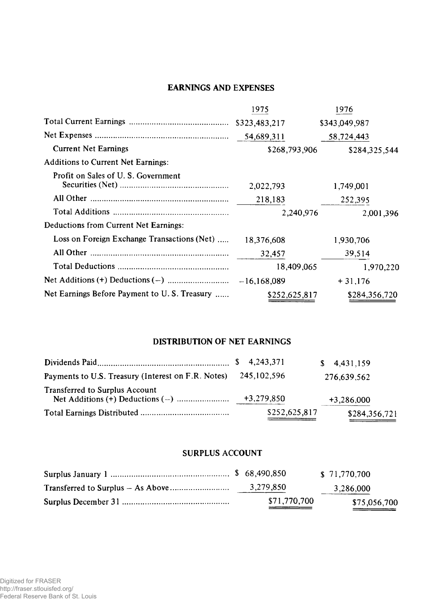# EARNINGS AND EXPENSES

|                                              | 1975          | 1976          |
|----------------------------------------------|---------------|---------------|
|                                              |               | \$343,049,987 |
|                                              |               | 58,724,443    |
| <b>Current Net Earnings</b>                  | \$268,793,906 | \$284,325,544 |
| <b>Additions to Current Net Earnings:</b>    |               |               |
| Profit on Sales of U.S. Government           | 2,022,793     | 1,749,001     |
|                                              | 218,183       | 252,395       |
|                                              | 2,240,976     | 2,001,396     |
| Deductions from Current Net Earnings:        |               |               |
| Loss on Foreign Exchange Transactions (Net)  | 18,376,608    | 1,930,706     |
|                                              | 32,457        | 39,514        |
|                                              | 18,409,065    | 1,970,220     |
|                                              |               | $+31,176$     |
| Net Earnings Before Payment to U.S. Treasury | \$252,625,817 | \$284,356,720 |

## DISTRIBUTION OF NET EARNINGS

|                                                                |               | \$4,431,159   |
|----------------------------------------------------------------|---------------|---------------|
| Payments to U.S. Treasury (Interest on F.R. Notes) 245,102,596 |               | 276,639,562   |
| <b>Transferred to Surplus Account</b>                          | $+3,279,850$  | $+3,286,000$  |
|                                                                | \$252,625,817 | \$284,356,721 |

### SURPLUS ACCOUNT

|              | \$ 71,770,700 |
|--------------|---------------|
| 3,279,850    | 3,286,000     |
| \$71,770,700 | \$75,056,700  |